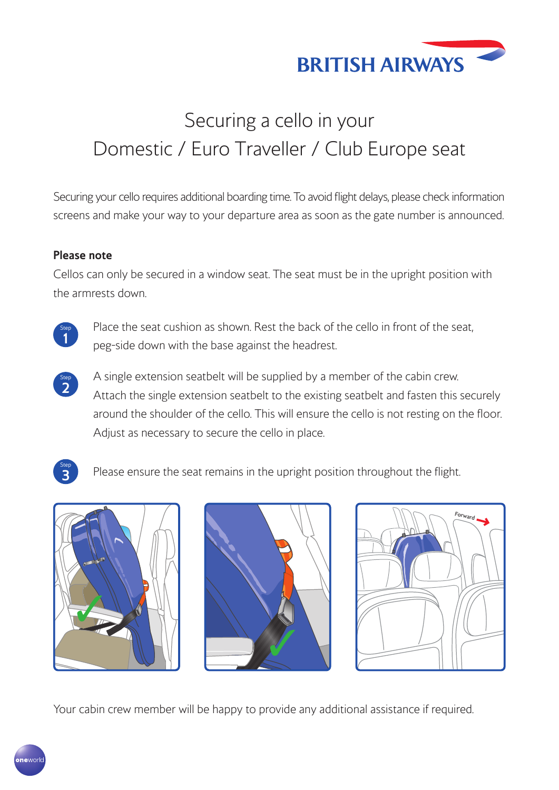

# Securing a cello in your Domestic / Euro Traveller / Club Europe seat

Securing your cello requires additional boarding time. To avoid flight delays, please check information screens and make your way to your departure area as soon as the gate number is announced.

#### **Please note**

Cellos can only be secured in a window seat. The seat must be in the upright position with the armrests down.



Place the seat cushion as shown. Rest the back of the cello in front of the seat, peg-side down with the base against the headrest.

Step **2** A single extension seatbelt will be supplied by a member of the cabin crew. Attach the single extension seatbelt to the existing seatbelt and fasten this securely around the shoulder of the cello. This will ensure the cello is not resting on the floor. Adjust as necessary to secure the cello in place.



**3** Please ensure the seat remains in the upright position throughout the flight.







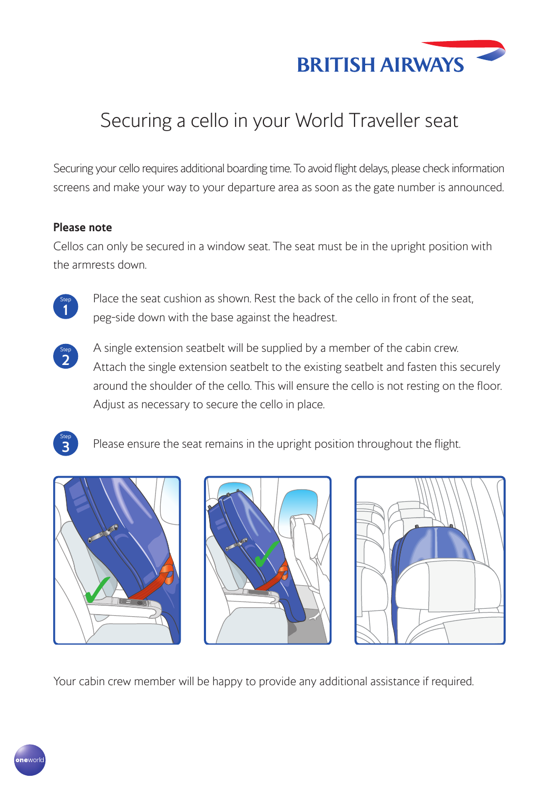

### Securing a cello in your World Traveller seat

Securing your cello requires additional boarding time. To avoid flight delays, please check information screens and make your way to your departure area as soon as the gate number is announced.

#### **Please note**

Cellos can only be secured in a window seat. The seat must be in the upright position with the armrests down.



Place the seat cushion as shown. Rest the back of the cello in front of the seat, peg-side down with the base against the headrest.



A single extension seatbelt will be supplied by a member of the cabin crew. Attach the single extension seatbelt to the existing seatbelt and fasten this securely around the shoulder of the cello. This will ensure the cello is not resting on the floor. Adjust as necessary to secure the cello in place.



**3** Please ensure the seat remains in the upright position throughout the flight.







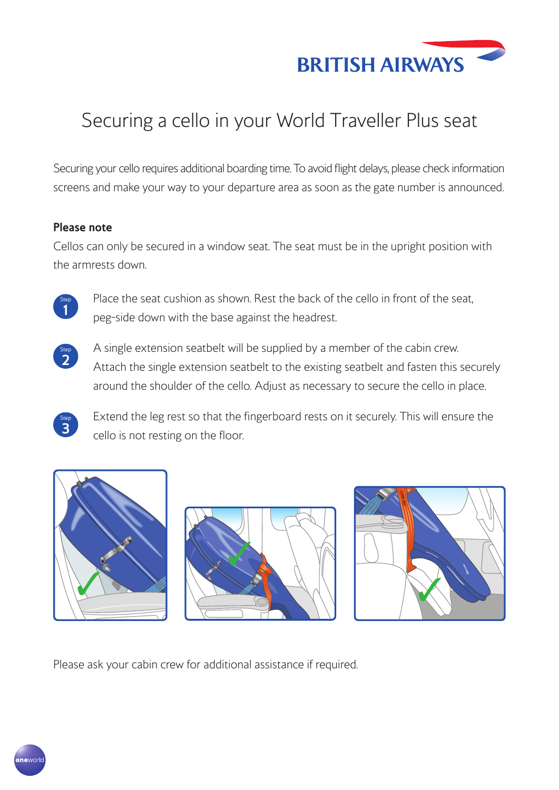

### Securing a cello in your World Traveller Plus seat

Securing your cello requires additional boarding time. To avoid flight delays, please check information screens and make your way to your departure area as soon as the gate number is announced.

#### **Please note**

Cellos can only be secured in a window seat. The seat must be in the upright position with the armrests down.



Place the seat cushion as shown. Rest the back of the cello in front of the seat, peg-side down with the base against the headrest.



Step<br>3

A single extension seatbelt will be supplied by a member of the cabin crew. Attach the single extension seatbelt to the existing seatbelt and fasten this securely around the shoulder of the cello. Adjust as necessary to secure the cello in place.

**<sup>3</sup>** Extend the leg rest so that the fingerboard rests on it securely. This will ensure the cello is not resting on the floor.



Please ask your cabin crew for additional assistance if required. 

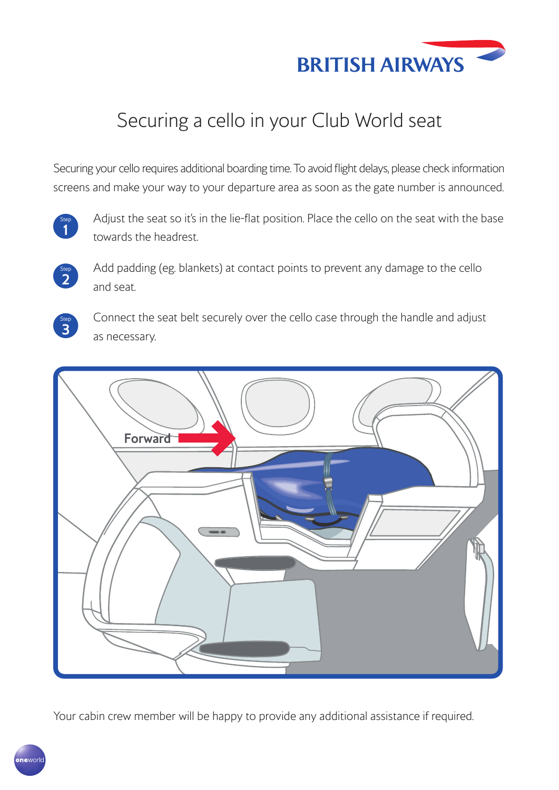

### Securing a cello in your Club World seat

Securing your cello requires additional boarding time. To avoid flight delays, please check information screens and make your way to your departure area as soon as the gate number is announced.



Adjust the seat so it's in the lie-flat position. Place the cello on the seat with the base towards the headrest.



Add padding (eg. blankets) at contact points to prevent any damage to the cello and seat.



Connect the seat belt securely over the cello case through the handle and adjust as necessary.